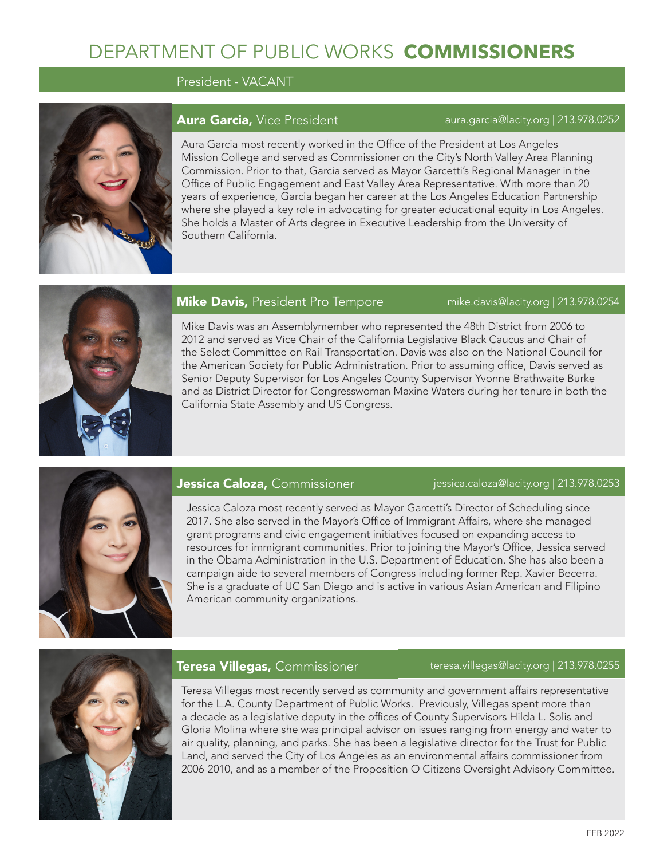# DEPARTMENT OF PUBLIC WORKS **COMMISSIONERS**

President - VACANT



# Aura Garcia, Vice President aura.garcia@lacity.org | 213.978.0252

Aura Garcia most recently worked in the Office of the President at Los Angeles Mission College and served as Commissioner on the City's North Valley Area Planning Commission. Prior to that, Garcia served as Mayor Garcetti's Regional Manager in the Office of Public Engagement and East Valley Area Representative. With more than 20 years of experience, Garcia began her career at the Los Angeles Education Partnership where she played a key role in advocating for greater educational equity in Los Angeles. She holds a Master of Arts degree in Executive Leadership from the University of Southern California.



# **Mike Davis,** President Pro Tempore mike.davis@lacity.org | 213.978.0254

Mike Davis was an Assemblymember who represented the 48th District from 2006 to 2012 and served as Vice Chair of the California Legislative Black Caucus and Chair of the Select Committee on Rail Transportation. Davis was also on the National Council for the American Society for Public Administration. Prior to assuming office, Davis served as Senior Deputy Supervisor for Los Angeles County Supervisor Yvonne Brathwaite Burke and as District Director for Congresswoman Maxine Waters during her tenure in both the California State Assembly and US Congress.



# **Jessica Caloza,** Commissioner in the sessica.caloza@lacity.org | 213.978.0253

Jessica Caloza most recently served as Mayor Garcetti's Director of Scheduling since 2017. She also served in the Mayor's Office of Immigrant Affairs, where she managed grant programs and civic engagement initiatives focused on expanding access to resources for immigrant communities. Prior to joining the Mayor's Office, Jessica served in the Obama Administration in the U.S. Department of Education. She has also been a campaign aide to several members of Congress including former Rep. Xavier Becerra. She is a graduate of UC San Diego and is active in various Asian American and Filipino American community organizations.



## **Teresa Villegas,** Commissioner teresa.villegas@lacity.org | 213.978.0255

Teresa Villegas most recently served as community and government affairs representative for the L.A. County Department of Public Works. Previously, Villegas spent more than a decade as a legislative deputy in the offices of County Supervisors Hilda L. Solis and Gloria Molina where she was principal advisor on issues ranging from energy and water to air quality, planning, and parks. She has been a legislative director for the Trust for Public Land, and served the City of Los Angeles as an environmental affairs commissioner from 2006-2010, and as a member of the Proposition O Citizens Oversight Advisory Committee.